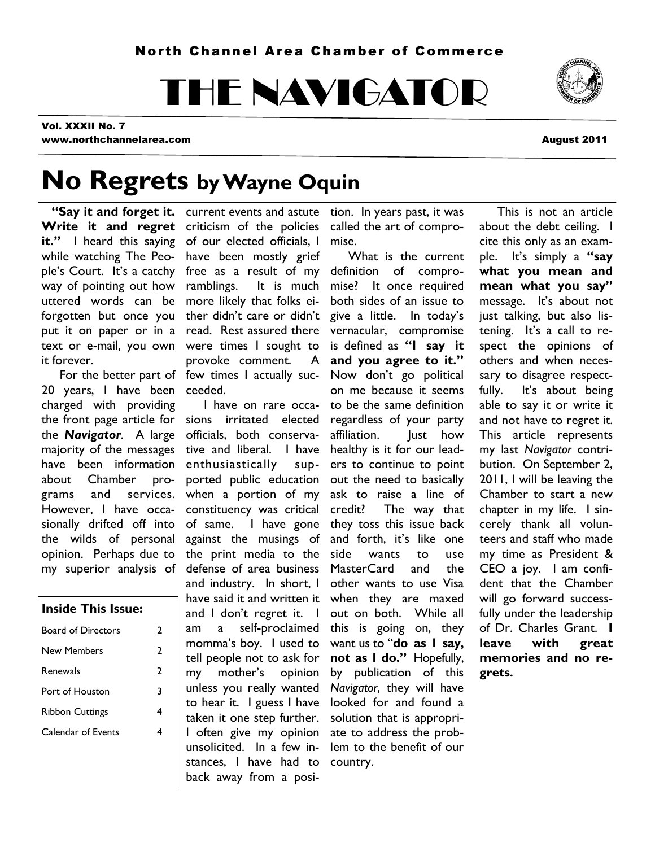THE NAVIGATOR

Vol. XXXII No. 7 www.northchannelarea.com August 2011

ł

# **No Regrets by Wayne Oquin**

while watching The Peoway of pointing out how ramblings. uttered words can be more likely that folks eitext or e-mail, you own it forever.

20 years, I have been charged with providing the front page article for the *Navigator*. A large majority of the messages have been information about Chamber programs and services. However, I have occasionally drifted off into the wilds of personal opinion. Perhaps due to my superior analysis of

#### **Inside This Issue:**

| <b>Board of Directors</b> | 7 |
|---------------------------|---|
| New Members               | 2 |
| Renewals                  | 2 |
| Port of Houston           | 3 |
| <b>Ribbon Cuttings</b>    | 4 |
| Calendar of Events        | 4 |
|                           |   |

Write it and regret criticism of the policies **it."** I heard this saying of our elected officials, I ple's Court. It's a catchy free as a result of my forgotten but once you ther didn't care or didn't put it on paper or in a read. Rest assured there For the better part of few times I actually suchave been mostly grief It is much were times I sought to provoke comment. A ceeded.

> I have on rare occasions irritated elected officials, both conservative and liberal. I have enthusiastically supported public education when a portion of my constituency was critical of same. I have gone against the musings of the print media to the defense of area business and industry. In short, I have said it and written it and I don't regret it. I am a self-proclaimed momma's boy. I used to tell people not to ask for my mother's opinion unless you really wanted to hear it. I guess I have taken it one step further. I often give my opinion unsolicited. In a few instances, I have had to back away from a posi-

**"Say it and forget it.** current events and astute tion. In years past, it was called the art of compromise.

> What is the current definition of compromise? It once required both sides of an issue to give a little. In today's vernacular, compromise is defined as **"I say it and you agree to it."**  Now don't go political on me because it seems to be the same definition regardless of your party affiliation. Just how healthy is it for our leaders to continue to point out the need to basically ask to raise a line of credit? The way that they toss this issue back and forth, it's like one side wants to use MasterCard and the other wants to use Visa when they are maxed out on both. While all this is going on, they want us to "**do as I say, not as I do."** Hopefully, by publication of this *Navigator*, they will have looked for and found a solution that is appropriate to address the problem to the benefit of our country.

 This is not an article about the debt ceiling. I cite this only as an example. It's simply a **"say what you mean and mean what you say"** message. It's about not just talking, but also listening. It's a call to respect the opinions of others and when necessary to disagree respectfully. It's about being able to say it or write it and not have to regret it. This article represents my last *Navigator* contribution. On September 2, 2011, I will be leaving the Chamber to start a new chapter in my life. I sincerely thank all volunteers and staff who made my time as President & CEO a joy. I am confident that the Chamber will go forward successfully under the leadership of Dr. Charles Grant. **I leave with great memories and no regrets.** 



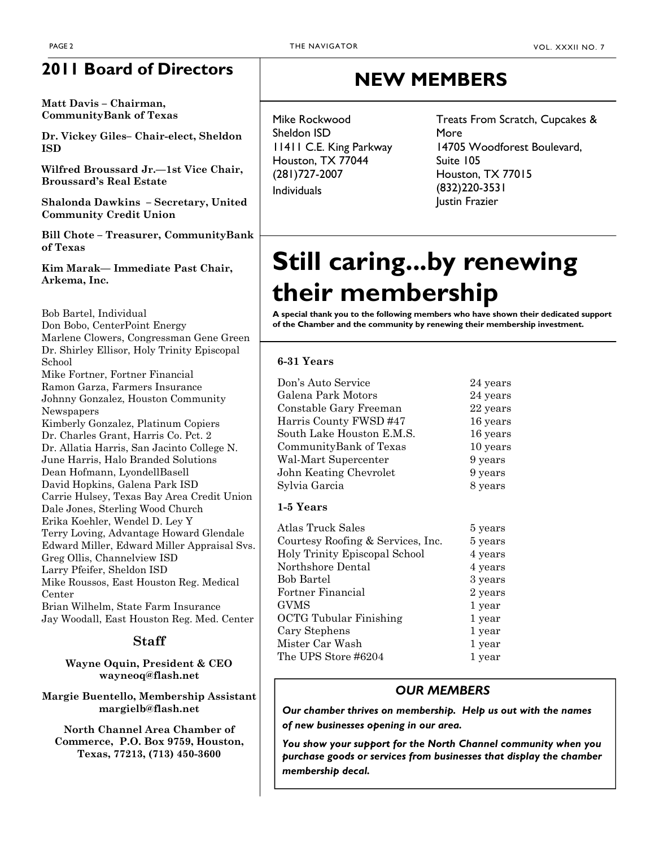### **2011 Board of Directors**

**Matt Davis – Chairman, CommunityBank of Texas** 

**Dr. Vickey Giles– Chair-elect, Sheldon ISD** 

**Wilfred Broussard Jr.—1st Vice Chair, Broussard's Real Estate** 

**Shalonda Dawkins – Secretary, United Community Credit Union** 

**Bill Chote – Treasurer, CommunityBank of Texas** 

**Kim Marak— Immediate Past Chair, Arkema, Inc.** 

Bob Bartel, Individual Don Bobo, CenterPoint Energy Marlene Clowers, Congressman Gene Green Dr. Shirley Ellisor, Holy Trinity Episcopal School Mike Fortner, Fortner Financial Ramon Garza, Farmers Insurance Johnny Gonzalez, Houston Community Newspapers Kimberly Gonzalez, Platinum Copiers Dr. Charles Grant, Harris Co. Pct. 2 Dr. Allatia Harris, San Jacinto College N. June Harris, Halo Branded Solutions Dean Hofmann, LyondellBasell David Hopkins, Galena Park ISD Carrie Hulsey, Texas Bay Area Credit Union Dale Jones, Sterling Wood Church Erika Koehler, Wendel D. Ley Y Terry Loving, Advantage Howard Glendale Edward Miller, Edward Miller Appraisal Svs. Greg Ollis, Channelview ISD Larry Pfeifer, Sheldon ISD Mike Roussos, East Houston Reg. Medical Center Brian Wilhelm, State Farm Insurance Jay Woodall, East Houston Reg. Med. Center

#### **Staff**

**Wayne Oquin, President & CEO wayneoq@flash.net** 

**Margie Buentello, Membership Assistant margielb@flash.net** 

**North Channel Area Chamber of Commerce, P.O. Box 9759, Houston, Texas, 77213, (713) 450-3600** 

## **NEW MEMBERS**

Mike Rockwood Sheldon ISD 11411 C.E. King Parkway Houston, TX 77044 (281)727-2007 Individuals

Treats From Scratch, Cupcakes & More 14705 Woodforest Boulevard, Suite 105 Houston, TX 77015 (832)220-3531 Justin Frazier

# **Still caring...by renewing their membership**

**A special thank you to the following members who have shown their dedicated support of the Chamber and the community by renewing their membership investment.** 

#### **6-31 Years**

| Don's Auto Service                | 24 years |
|-----------------------------------|----------|
| Galena Park Motors                | 24 years |
| Constable Gary Freeman            | 22 years |
| Harris County FWSD #47            | 16 years |
| South Lake Houston E.M.S.         | 16 years |
| CommunityBank of Texas            | 10 years |
| Wal-Mart Supercenter              | 9 years  |
| John Keating Chevrolet            | 9 years  |
| Sylvia Garcia                     | 8 years  |
| 1-5 Years                         |          |
|                                   |          |
| Atlas Truck Sales                 | 5 years  |
| Courtesy Roofing & Services, Inc. | 5 years  |
| Holy Trinity Episcopal School     | 4 years  |
| Northshore Dental                 | 4 years  |
| <b>Bob Bartel</b>                 | 3 years  |
| Fortner Financial                 | 2 years  |
| GVMS                              | 1 year   |
| <b>OCTG Tubular Finishing</b>     | 1 year   |
| Cary Stephens                     | 1 year   |
| Mister Car Wash                   | 1 year   |

#### *OUR MEMBERS*

*Our chamber thrives on membership. Help us out with the names of new businesses opening in our area.* 

*You show your support for the North Channel community when you purchase goods or services from businesses that display the chamber membership decal.*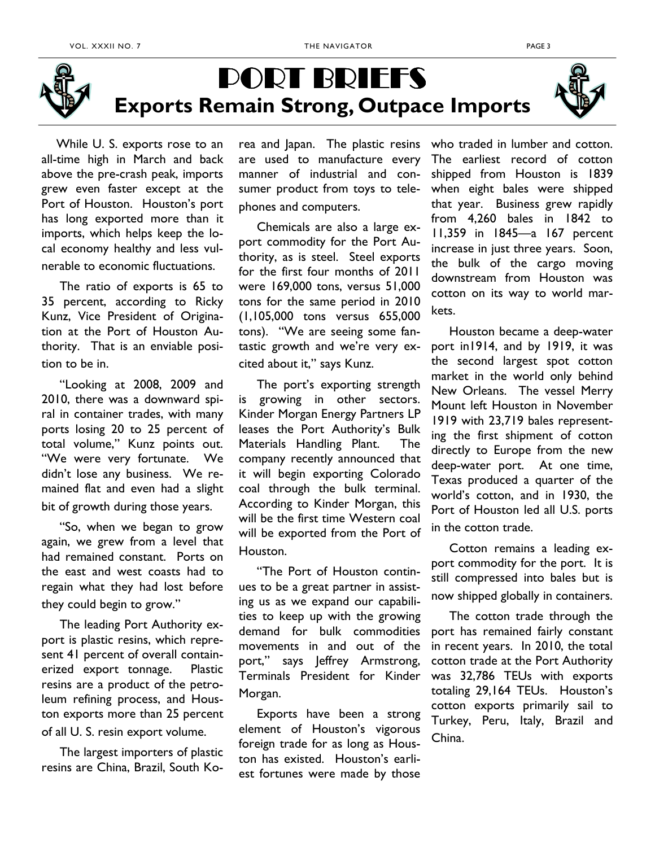

# **PORT BRIEFS Exports Remain Strong, Outpace Imports**

 While U. S. exports rose to an all-time high in March and back above the pre-crash peak, imports grew even faster except at the Port of Houston. Houston's port has long exported more than it imports, which helps keep the local economy healthy and less vulnerable to economic fluctuations.

 The ratio of exports is 65 to 35 percent, according to Ricky Kunz, Vice President of Origination at the Port of Houston Authority. That is an enviable position to be in.

 "Looking at 2008, 2009 and 2010, there was a downward spiral in container trades, with many ports losing 20 to 25 percent of total volume," Kunz points out. "We were very fortunate. We didn't lose any business. We remained flat and even had a slight bit of growth during those years.

 "So, when we began to grow again, we grew from a level that had remained constant. Ports on the east and west coasts had to regain what they had lost before they could begin to grow."

 The leading Port Authority export is plastic resins, which represent 41 percent of overall containerized export tonnage. Plastic resins are a product of the petroleum refining process, and Houston exports more than 25 percent of all U. S. resin export volume.

 The largest importers of plastic resins are China, Brazil, South Korea and Japan. The plastic resins are used to manufacture every manner of industrial and consumer product from toys to telephones and computers.

 Chemicals are also a large export commodity for the Port Authority, as is steel. Steel exports for the first four months of 2011 were 169,000 tons, versus 51,000 tons for the same period in 2010 (1,105,000 tons versus 655,000 tons). "We are seeing some fantastic growth and we're very excited about it," says Kunz.

 The port's exporting strength is growing in other sectors. Kinder Morgan Energy Partners LP leases the Port Authority's Bulk Materials Handling Plant. The company recently announced that it will begin exporting Colorado coal through the bulk terminal. According to Kinder Morgan, this will be the first time Western coal will be exported from the Port of Houston.

 "The Port of Houston continues to be a great partner in assisting us as we expand our capabilities to keep up with the growing demand for bulk commodities movements in and out of the port," says Jeffrey Armstrong, Terminals President for Kinder Morgan.

 Exports have been a strong element of Houston's vigorous foreign trade for as long as Houston has existed. Houston's earliest fortunes were made by those

who traded in lumber and cotton. The earliest record of cotton shipped from Houston is 1839 when eight bales were shipped that year. Business grew rapidly from 4,260 bales in 1842 to 11,359 in 1845—a 167 percent increase in just three years. Soon, the bulk of the cargo moving downstream from Houston was cotton on its way to world markets.

 Houston became a deep-water port in1914, and by 1919, it was the second largest spot cotton market in the world only behind New Orleans. The vessel Merry Mount left Houston in November 1919 with 23,719 bales representing the first shipment of cotton directly to Europe from the new deep-water port. At one time, Texas produced a quarter of the world's cotton, and in 1930, the Port of Houston led all U.S. ports in the cotton trade.

 Cotton remains a leading export commodity for the port. It is still compressed into bales but is now shipped globally in containers.

 The cotton trade through the port has remained fairly constant in recent years. In 2010, the total cotton trade at the Port Authority was 32,786 TEUs with exports totaling 29,164 TEUs. Houston's cotton exports primarily sail to Turkey, Peru, Italy, Brazil and China.